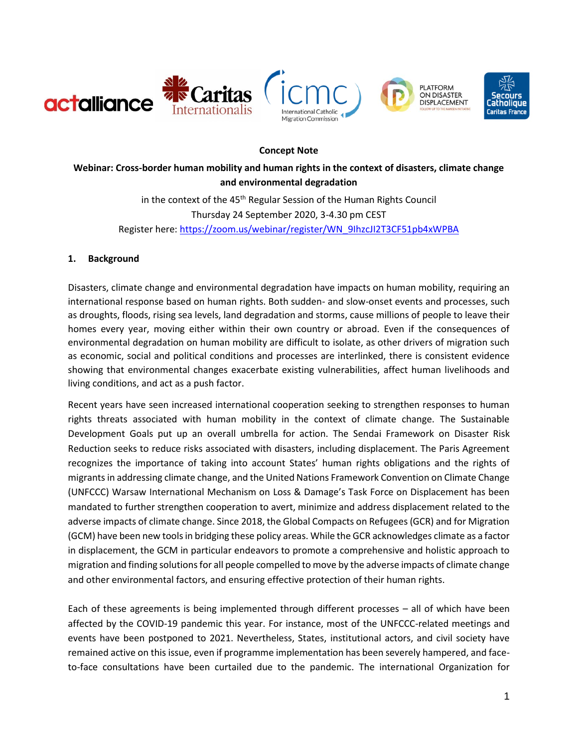

#### **Concept Note**

**Webinar: Cross-border human mobility and human rights in the context of disasters, climate change and environmental degradation** 

> in the context of the 45<sup>th</sup> Regular Session of the Human Rights Council Thursday 24 September 2020, 3-4.30 pm CEST Register here[: https://zoom.us/webinar/register/WN\\_9IhzcJI2T3CF51pb4xWPBA](https://zoom.us/webinar/register/WN_9IhzcJI2T3CF51pb4xWPBA)

#### **1. Background**

Disasters, climate change and environmental degradation have impacts on human mobility, requiring an international response based on human rights. Both sudden- and slow-onset events and processes, such as droughts, floods, rising sea levels, land degradation and storms, cause millions of people to leave their homes every year, moving either within their own country or abroad. Even if the consequences of environmental degradation on human mobility are difficult to isolate, as other drivers of migration such as economic, social and political conditions and processes are interlinked, there is consistent evidence showing that environmental changes exacerbate existing vulnerabilities, affect human livelihoods and living conditions, and act as a push factor.

Recent years have seen increased international cooperation seeking to strengthen responses to human rights threats associated with human mobility in the context of climate change. The Sustainable Development Goals put up an overall umbrella for action. The Sendai Framework on Disaster Risk Reduction seeks to reduce risks associated with disasters, including displacement. The Paris Agreement recognizes the importance of taking into account States' human rights obligations and the rights of migrants in addressing climate change, and the United Nations Framework Convention on Climate Change (UNFCCC) Warsaw International Mechanism on Loss & Damage's Task Force on Displacement has been mandated to further strengthen cooperation to avert, minimize and address displacement related to the adverse impacts of climate change. Since 2018, the Global Compacts on Refugees (GCR) and for Migration (GCM) have been new tools in bridging these policy areas. While the GCR acknowledges climate as a factor in displacement, the GCM in particular endeavors to promote a comprehensive and holistic approach to migration and finding solutions for all people compelled to move by the adverse impacts of climate change and other environmental factors, and ensuring effective protection of their human rights.

Each of these agreements is being implemented through different processes – all of which have been affected by the COVID-19 pandemic this year. For instance, most of the UNFCCC-related meetings and events have been postponed to 2021. Nevertheless, States, institutional actors, and civil society have remained active on this issue, even if programme implementation has been severely hampered, and faceto-face consultations have been curtailed due to the pandemic. The international Organization for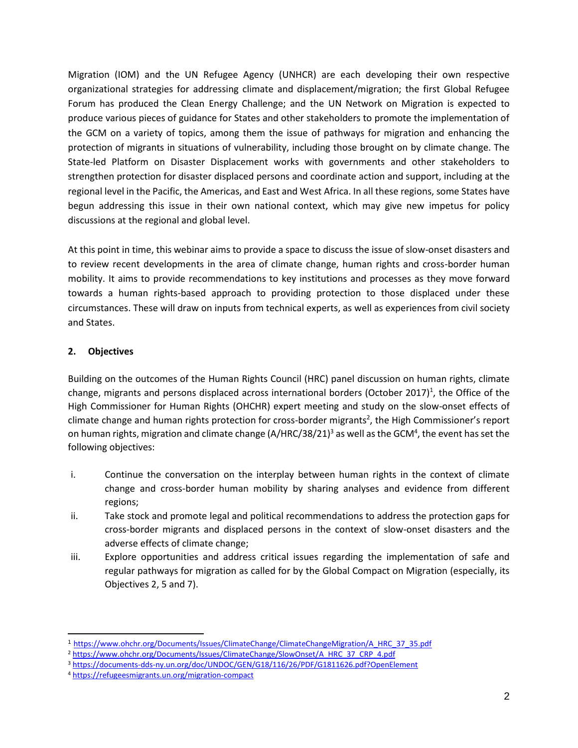Migration (IOM) and the UN Refugee Agency (UNHCR) are each developing their own respective organizational strategies for addressing climate and displacement/migration; the first Global Refugee Forum has produced the Clean Energy Challenge; and the UN Network on Migration is expected to produce various pieces of guidance for States and other stakeholders to promote the implementation of the GCM on a variety of topics, among them the issue of pathways for migration and enhancing the protection of migrants in situations of vulnerability, including those brought on by climate change. The State-led Platform on Disaster Displacement works with governments and other stakeholders to strengthen protection for disaster displaced persons and coordinate action and support, including at the regional level in the Pacific, the Americas, and East and West Africa. In all these regions, some States have begun addressing this issue in their own national context, which may give new impetus for policy discussions at the regional and global level.

At this point in time, this webinar aims to provide a space to discuss the issue of slow-onset disasters and to review recent developments in the area of climate change, human rights and cross-border human mobility. It aims to provide recommendations to key institutions and processes as they move forward towards a human rights-based approach to providing protection to those displaced under these circumstances. These will draw on inputs from technical experts, as well as experiences from civil society and States.

# **2. Objectives**

 $\overline{a}$ 

Building on the outcomes of the Human Rights Council (HRC) panel discussion on human rights, climate change, migrants and persons displaced across international borders (October 2017)<sup>1</sup>, the Office of the High Commissioner for Human Rights (OHCHR) expert meeting and study on the slow-onset effects of climate change and human rights protection for cross-border migrants<sup>2</sup>, the High Commissioner's report on human rights, migration and climate change (A/HRC/38/21)<sup>3</sup> as well as the GCM<sup>4</sup>, the event has set the following objectives:

- i. Continue the conversation on the interplay between human rights in the context of climate change and cross-border human mobility by sharing analyses and evidence from different regions;
- ii. Take stock and promote legal and political recommendations to address the protection gaps for cross-border migrants and displaced persons in the context of slow-onset disasters and the adverse effects of climate change;
- iii. Explore opportunities and address critical issues regarding the implementation of safe and regular pathways for migration as called for by the Global Compact on Migration (especially, its Objectives 2, 5 and 7).

<sup>1</sup> [https://www.ohchr.org/Documents/Issues/ClimateChange/ClimateChangeMigration/A\\_HRC\\_37\\_35.pdf](https://www.ohchr.org/Documents/Issues/ClimateChange/ClimateChangeMigration/A_HRC_37_35.pdf)

<sup>&</sup>lt;sup>2</sup> [https://www.ohchr.org/Documents/Issues/ClimateChange/SlowOnset/A\\_HRC\\_37\\_CRP\\_4.pdf](https://www.ohchr.org/Documents/Issues/ClimateChange/SlowOnset/A_HRC_37_CRP_4.pdf)

<sup>3</sup> <https://documents-dds-ny.un.org/doc/UNDOC/GEN/G18/116/26/PDF/G1811626.pdf?OpenElement>

<sup>4</sup> <https://refugeesmigrants.un.org/migration-compact>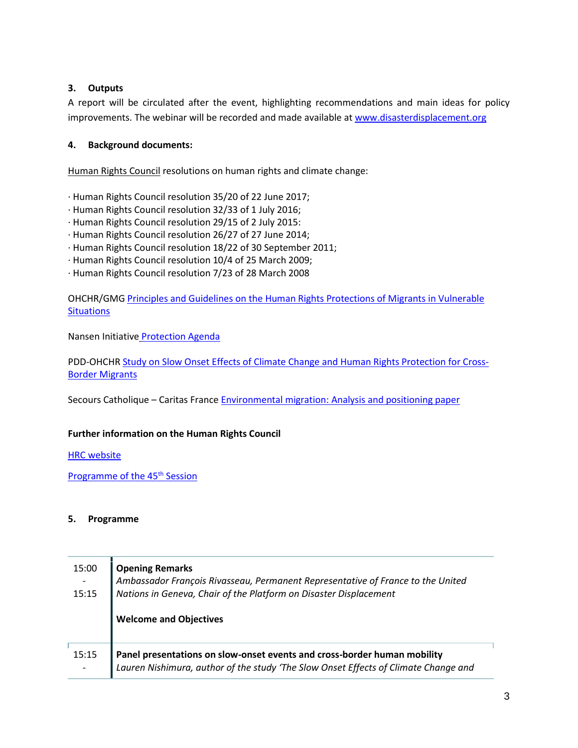# **3. Outputs**

A report will be circulated after the event, highlighting recommendations and main ideas for policy improvements. The webinar will be recorded and made available at [www.disasterdisplacement.org](http://www.disasterdisplacement.org/)

# **4. Background documents:**

Human Rights Council resolutions on human rights and climate change:

- ∙ Human Rights Council resolution 35/20 of 22 June 2017;
- ∙ Human Rights Council resolution 32/33 of 1 July 2016;
- ∙ Human Rights Council resolution 29/15 of 2 July 2015:
- ∙ Human Rights Council resolution 26/27 of 27 June 2014;
- ∙ Human Rights Council resolution 18/22 of 30 September 2011;
- ∙ Human Rights Council resolution 10/4 of 25 March 2009;
- ∙ Human Rights Council resolution 7/23 of 28 March 2008

OHCHR/GMG Principles and Guidelines [on the Human Rights Protections of Migrants in Vulnerable](https://www.ohchr.org/EN/Issues/Migration/Pages/VulnerableSituations.aspx)  **[Situations](https://www.ohchr.org/EN/Issues/Migration/Pages/VulnerableSituations.aspx)** 

[Nansen Initiative](https://disasterdisplacement.org/wp-content/uploads/2014/08/EN_Protection_Agenda_Volume_I_-low_res.pdf) [Protection Agenda](https://disasterdisplacement.org/wp-content/uploads/2014/08/EN_Protection_Agenda_Volume_I_-low_res.pdf)

PDD-OHCHR [Study on Slow Onset Effects of Climate Change and Human Rights Protection for Cross-](https://disasterdisplacement.org/portfolio-item/slow-onset)[Border Migrants](https://disasterdisplacement.org/portfolio-item/slow-onset)

Secours Catholique – Caritas France Environmental migration: [Analysis and positioning paper](https://t.co/XFpVzKdmq3?amp=1)

# **Further information on the Human Rights Council**

**HRC** website

[Programme of the 45](https://www.ohchr.org/EN/HRBodies/HRC/RegularSessions/Session45/Pages/45RegularSession.aspx)<sup>th</sup> Session

#### **5. Programme**

| 15:00<br>15:15 | <b>Opening Remarks</b><br>Ambassador François Rivasseau, Permanent Representative of France to the United<br>Nations in Geneva, Chair of the Platform on Disaster Displacement<br><b>Welcome and Objectives</b> |
|----------------|-----------------------------------------------------------------------------------------------------------------------------------------------------------------------------------------------------------------|
| 15:15          | Panel presentations on slow-onset events and cross-border human mobility<br>Lauren Nishimura, author of the study 'The Slow Onset Effects of Climate Change and                                                 |